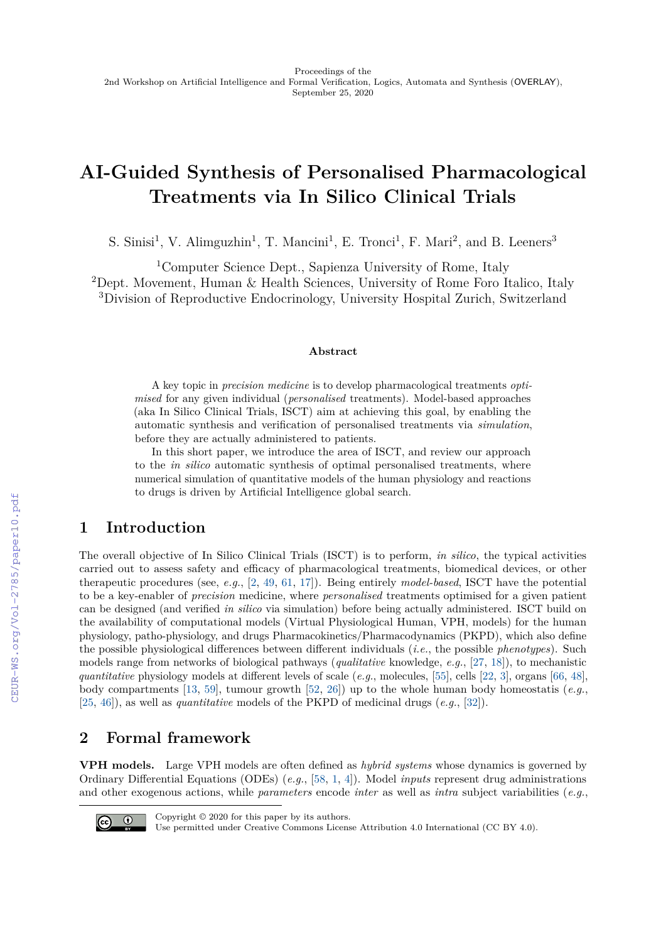# **AI-Guided Synthesis of Personalised Pharmacological Treatments via In Silico Clinical Trials**

S. Sinisi<sup>1</sup>, V. Alimguzhin<sup>1</sup>, T. Mancini<sup>1</sup>, E. Tronci<sup>1</sup>, F. Mari<sup>2</sup>, and B. Leeners<sup>3</sup>

<sup>1</sup>Computer Science Dept., Sapienza University of Rome, Italy

<sup>2</sup>Dept. Movement, Human & Health Sciences, University of Rome Foro Italico, Italy <sup>3</sup>Division of Reproductive Endocrinology, University Hospital Zurich, Switzerland

#### **Abstract**

A key topic in *precision medicine* is to develop pharmacological treatments *optimised* for any given individual (*personalised* treatments). Model-based approaches (aka In Silico Clinical Trials, ISCT) aim at achieving this goal, by enabling the automatic synthesis and verification of personalised treatments via *simulation*, before they are actually administered to patients.

In this short paper, we introduce the area of ISCT, and review our approach to the *in silico* automatic synthesis of optimal personalised treatments, where numerical simulation of quantitative models of the human physiology and reactions to drugs is driven by Artificial Intelligence global search.

# **1 Introduction**

The overall objective of In Silico Clinical Trials (ISCT) is to perform, *in silico*, the typical activities carried out to assess safety and efficacy of pharmacological treatments, biomedical devices, or other therapeutic procedures (see, *e.g.*, [\[2,](#page--1-0) [49,](#page--1-1) [61,](#page--1-2) [17\]](#page--1-3)). Being entirely *model-based*, ISCT have the potential to be a key-enabler of *precision* medicine, where *personalised* treatments optimised for a given patient can be designed (and verified *in silico* via simulation) before being actually administered. ISCT build on the availability of computational models (Virtual Physiological Human, VPH, models) for the human physiology, patho-physiology, and drugs Pharmacokinetics/Pharmacodynamics (PKPD), which also define the possible physiological differences between different individuals (*i.e.*, the possible *phenotypes*). Such models range from networks of biological pathways (*qualitative* knowledge, *e.g.*, [\[27,](#page--1-4) [18\]](#page--1-5)), to mechanistic *quantitative* physiology models at different levels of scale (*e.g.*, molecules, [\[55\]](#page--1-6), cells [\[22,](#page--1-1) [3\]](#page--1-7), organs [\[66,](#page--1-8) [48\]](#page--1-9), body compartments [\[13,](#page--1-10) [59\]](#page--1-11), tumour growth [\[52,](#page--1-12) [26\]](#page--1-6)) up to the whole human body homeostatis (*e.g.*, [\[25,](#page--1-13) [46\]](#page--1-14)), as well as *quantitative* models of the PKPD of medicinal drugs (*e.g.*, [\[32\]](#page--1-15)).

## **2 Formal framework**

**VPH models.** Large VPH models are often defined as *hybrid systems* whose dynamics is governed by Ordinary Differential Equations (ODEs) (*e.g.*, [\[58,](#page--1-16) [1,](#page--1-17) [4\]](#page--1-18)). Model *inputs* represent drug administrations and other exogenous actions, while *parameters* encode *inter* as well as *intra* subject variabilities (*e.g.*,



Copyright © 2020 for this paper by its authors.

Use permitted under Creative Commons License Attribution 4.0 International (CC BY 4.0).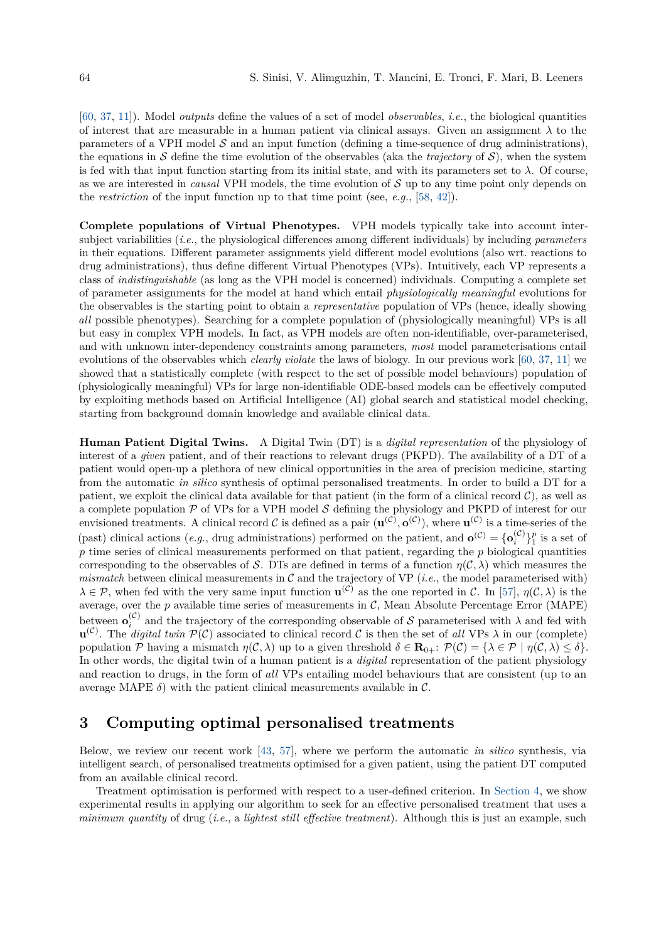[\[60,](#page-5-0) [37,](#page-5-1) [11\]](#page-4-0)). Model *outputs* define the values of a set of model *observables*, *i.e.*, the biological quantities of interest that are measurable in a human patient via clinical assays. Given an assignment *λ* to the parameters of a VPH model  $S$  and an input function (defining a time-sequence of drug administrations). the equations in S define the time evolution of the observables (aka the *trajectory* of S), when the system is fed with that input function starting from its initial state, and with its parameters set to  $\lambda$ . Of course, as we are interested in *causal* VPH models, the time evolution of S up to any time point only depends on the *restriction* of the input function up to that time point (see, *e.g.*, [\[58,](#page-5-2) [42\]](#page-5-3)).

**Complete populations of Virtual Phenotypes.** VPH models typically take into account intersubject variabilities (*i.e.*, the physiological differences among different individuals) by including *parameters* in their equations. Different parameter assignments yield different model evolutions (also wrt. reactions to drug administrations), thus define different Virtual Phenotypes (VPs). Intuitively, each VP represents a class of *indistinguishable* (as long as the VPH model is concerned) individuals. Computing a complete set of parameter assignments for the model at hand which entail *physiologically meaningful* evolutions for the observables is the starting point to obtain a *representative* population of VPs (hence, ideally showing *all* possible phenotypes). Searching for a complete population of (physiologically meaningful) VPs is all but easy in complex VPH models. In fact, as VPH models are often non-identifiable, over-parameterised, and with unknown inter-dependency constraints among parameters, *most* model parameterisations entail evolutions of the observables which *clearly violate* the laws of biology. In our previous work [\[60,](#page-5-0) [37,](#page-5-1) [11\]](#page-4-0) we showed that a statistically complete (with respect to the set of possible model behaviours) population of (physiologically meaningful) VPs for large non-identifiable ODE-based models can be effectively computed by exploiting methods based on Artificial Intelligence (AI) global search and statistical model checking, starting from background domain knowledge and available clinical data.

**Human Patient Digital Twins.** A Digital Twin (DT) is a *digital representation* of the physiology of interest of a *given* patient, and of their reactions to relevant drugs (PKPD). The availability of a DT of a patient would open-up a plethora of new clinical opportunities in the area of precision medicine, starting from the automatic *in silico* synthesis of optimal personalised treatments. In order to build a DT for a patient, we exploit the clinical data available for that patient (in the form of a clinical record  $\mathcal{C}$ ), as well as a complete population  $\mathcal P$  of VPs for a VPH model S defining the physiology and PKPD of interest for our envisioned treatments. A clinical record C is defined as a pair  $(\mathbf{u}^{(\mathcal{C})}, \mathbf{o}^{(\mathcal{C})})$ , where  $\mathbf{u}^{(\mathcal{C})}$  is a time-series of the (past) clinical actions (*e.g.*, drug administrations) performed on the patient, and  $\mathbf{o}^{(\mathcal{C})} = {\mathbf{o}_i^{(\mathcal{C})}}$  $\binom{(\mathcal{C})}{i}$  <sup>p</sup><sub>1</sub> is a set of *p* time series of clinical measurements performed on that patient, regarding the *p* biological quantities corresponding to the observables of S. DTs are defined in terms of a function  $\eta(\mathcal{C},\lambda)$  which measures the *mismatch* between clinical measurements in  $C$  and the trajectory of VP (*i.e.*, the model parameterised with)  $\lambda \in \mathcal{P}$ , when fed with the very same input function  $\mathbf{u}^{(\mathcal{C})}$  as the one reported in C. In [\[57\]](#page-5-4),  $\eta(\mathcal{C}, \lambda)$  is the average, over the  $p$  available time series of measurements in  $C$ , Mean Absolute Percentage Error (MAPE) between  $o_i^{(\mathcal{C})}$ <sup>(c)</sup> and the trajectory of the corresponding observable of S parameterised with  $\lambda$  and fed with  $\mathbf{u}^{(\mathcal{C})}$ . The *digital twin*  $\mathcal{P}(\mathcal{C})$  associated to clinical record  $\mathcal{C}$  is then the set of *all* VPs  $\lambda$  in our (complete) population P having a mismatch  $\eta(C, \lambda)$  up to a given threshold  $\delta \in \mathbf{R}_{0+}$ :  $\mathcal{P}(\mathcal{C}) = {\lambda \in \mathcal{P} \mid \eta(\mathcal{C}, \lambda) \leq \delta}.$ In other words, the digital twin of a human patient is a *digital* representation of the patient physiology and reaction to drugs, in the form of *all* VPs entailing model behaviours that are consistent (up to an average MAPE  $\delta$ ) with the patient clinical measurements available in C.

# **3 Computing optimal personalised treatments**

Below, we review our recent work [\[43,](#page-5-5) [57\]](#page-5-4), where we perform the automatic *in silico* synthesis, via intelligent search, of personalised treatments optimised for a given patient, using the patient DT computed from an available clinical record.

Treatment optimisation is performed with respect to a user-defined criterion. In [Section 4,](#page-2-0) we show experimental results in applying our algorithm to seek for an effective personalised treatment that uses a *minimum quantity* of drug (*i.e.*, a *lightest still effective treatment*). Although this is just an example, such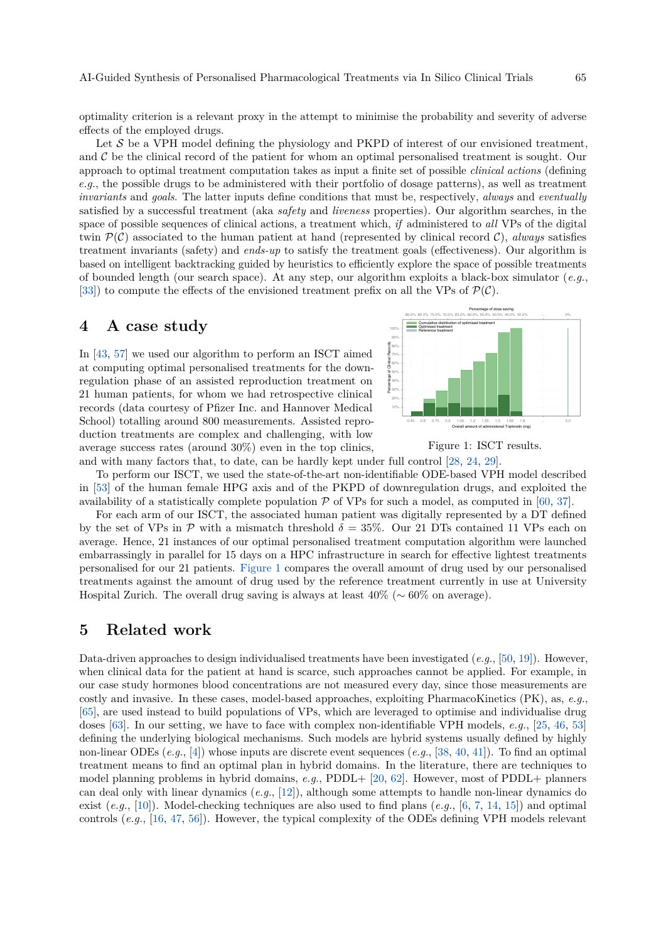optimality criterion is a relevant proxy in the attempt to minimise the probability and severity of adverse effects of the employed drugs.

Let  $\mathcal S$  be a VPH model defining the physiology and PKPD of interest of our envisioned treatment, and  $\mathcal C$  be the clinical record of the patient for whom an optimal personalised treatment is sought. Our approach to optimal treatment computation takes as input a finite set of possible *clinical actions* (defining *e.g.*, the possible drugs to be administered with their portfolio of dosage patterns), as well as treatment *invariants* and *goals*. The latter inputs define conditions that must be, respectively, *always* and *eventually* satisfied by a successful treatment (aka *safety* and *liveness* properties). Our algorithm searches, in the space of possible sequences of clinical actions, a treatment which, *if* administered to *all* VPs of the digital twin  $\mathcal{P}(\mathcal{C})$  associated to the human patient at hand (represented by clinical record  $\mathcal{C}$ ), *always* satisfies treatment invariants (safety) and *ends-up* to satisfy the treatment goals (effectiveness). Our algorithm is based on intelligent backtracking guided by heuristics to efficiently explore the space of possible treatments of bounded length (our search space). At any step, our algorithm exploits a black-box simulator (*e.g.*, [\[33\]](#page-4-1)) to compute the effects of the envisioned treatment prefix on all the VPs of  $\mathcal{P}(\mathcal{C})$ .

#### <span id="page-2-0"></span>**4 A case study**

In [\[43,](#page-5-5) [57\]](#page-5-4) we used our algorithm to perform an ISCT aimed at computing optimal personalised treatments for the downregulation phase of an assisted reproduction treatment on 21 human patients, for whom we had retrospective clinical records (data courtesy of Pfizer Inc. and Hannover Medical School) totalling around 800 measurements. Assisted reproduction treatments are complex and challenging, with low average success rates (around 30%) even in the top clinics, and with many factors that, to date, can be hardly kept under full control [\[28,](#page-4-2) [24,](#page-4-3) [29\]](#page-4-4).

<span id="page-2-1"></span>



To perform our ISCT, we used the state-of-the-art non-identifiable ODE-based VPH model described in [\[53\]](#page-5-6) of the human female HPG axis and of the PKPD of downregulation drugs, and exploited the availability of a statistically complete population  $P$  of VPs for such a model, as computed in [\[60,](#page-5-0) [37\]](#page-5-1).

For each arm of our ISCT, the associated human patient was digitally represented by a DT defined by the set of VPs in P with a mismatch threshold  $\delta = 35\%$ . Our 21 DTs contained 11 VPs each on average. Hence, 21 instances of our optimal personalised treatment computation algorithm were launched embarrassingly in parallel for 15 days on a HPC infrastructure in search for effective lightest treatments personalised for our 21 patients. [Figure 1](#page-2-1) compares the overall amount of drug used by our personalised treatments against the amount of drug used by the reference treatment currently in use at University Hospital Zurich. The overall drug saving is always at least  $40\% \approx 60\%$  on average).

#### **5 Related work**

Data-driven approaches to design individualised treatments have been investigated (*e.g.*, [\[50,](#page-5-7) [19\]](#page-4-5)). However, when clinical data for the patient at hand is scarce, such approaches cannot be applied. For example, in our case study hormones blood concentrations are not measured every day, since those measurements are costly and invasive. In these cases, model-based approaches, exploiting PharmacoKinetics (PK), as, *e.g.*, [\[65\]](#page-5-8), are used instead to build populations of VPs, which are leveraged to optimise and individualise drug doses [\[63\]](#page-5-9). In our setting, we have to face with complex non-identifiable VPH models, *e.g.*, [\[25,](#page-4-6) [46,](#page-5-10) [53\]](#page-5-6) defining the underlying biological mechanisms. Such models are hybrid systems usually defined by highly non-linear ODEs (*e.g.*, [\[4\]](#page-3-0)) whose inputs are discrete event sequences (*e.g.*, [\[38,](#page-5-11) [40,](#page-5-12) [41\]](#page-5-13)). To find an optimal treatment means to find an optimal plan in hybrid domains. In the literature, there are techniques to model planning problems in hybrid domains, *e.g.*, PDDL+ [\[20,](#page-4-7) [62\]](#page-5-14). However, most of PDDL+ planners can deal only with linear dynamics (*e.g.*, [\[12\]](#page-4-8)), although some attempts to handle non-linear dynamics do exist (*e.g.*, [\[10\]](#page-4-9)). Model-checking techniques are also used to find plans (*e.g.*, [\[6,](#page-3-1) [7,](#page-3-2) [14,](#page-4-10) [15\]](#page-4-11)) and optimal controls (*e.g.*, [\[16,](#page-4-12) [47,](#page-5-15) [56\]](#page-5-16)). However, the typical complexity of the ODEs defining VPH models relevant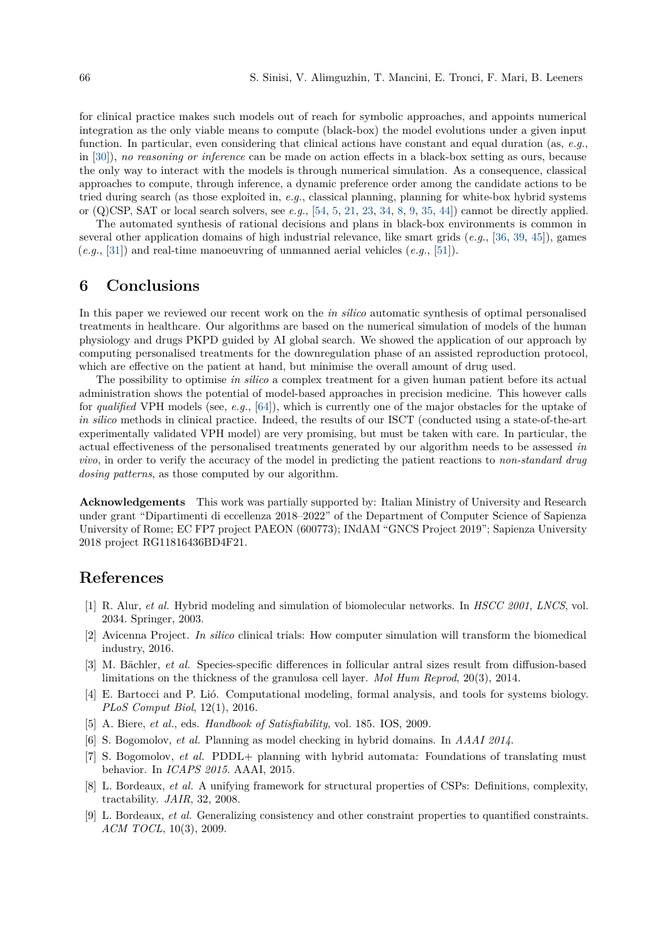for clinical practice makes such models out of reach for symbolic approaches, and appoints numerical integration as the only viable means to compute (black-box) the model evolutions under a given input function. In particular, even considering that clinical actions have constant and equal duration (as, *e.g.*, in [\[30\]](#page-4-13)), *no reasoning or inference* can be made on action effects in a black-box setting as ours, because the only way to interact with the models is through numerical simulation. As a consequence, classical approaches to compute, through inference, a dynamic preference order among the candidate actions to be tried during search (as those exploited in, *e.g.*, classical planning, planning for white-box hybrid systems or (Q)CSP, SAT or local search solvers, see *e.g.*, [\[54,](#page-5-17) [5,](#page-3-3) [21,](#page-4-14) [23,](#page-4-15) [34,](#page-4-16) [8,](#page-3-4) [9,](#page-3-5) [35,](#page-4-17) [44\]](#page-5-18)) cannot be directly applied.

The automated synthesis of rational decisions and plans in black-box environments is common in several other application domains of high industrial relevance, like smart grids (*e.g.*, [\[36,](#page-4-18) [39,](#page-5-19) [45\]](#page-5-20)), games (*e.g.*, [\[31\]](#page-4-19)) and real-time manoeuvring of unmanned aerial vehicles (*e.g.*, [\[51\]](#page-5-21)).

## **6 Conclusions**

In this paper we reviewed our recent work on the *in silico* automatic synthesis of optimal personalised treatments in healthcare. Our algorithms are based on the numerical simulation of models of the human physiology and drugs PKPD guided by AI global search. We showed the application of our approach by computing personalised treatments for the downregulation phase of an assisted reproduction protocol, which are effective on the patient at hand, but minimise the overall amount of drug used.

The possibility to optimise *in silico* a complex treatment for a given human patient before its actual administration shows the potential of model-based approaches in precision medicine. This however calls for *qualified* VPH models (see, *e.g.*, [\[64\]](#page-5-22)), which is currently one of the major obstacles for the uptake of *in silico* methods in clinical practice. Indeed, the results of our ISCT (conducted using a state-of-the-art experimentally validated VPH model) are very promising, but must be taken with care. In particular, the actual effectiveness of the personalised treatments generated by our algorithm needs to be assessed *in vivo*, in order to verify the accuracy of the model in predicting the patient reactions to *non-standard drug dosing patterns*, as those computed by our algorithm.

**Acknowledgements** This work was partially supported by: Italian Ministry of University and Research under grant "Dipartimenti di eccellenza 2018–2022" of the Department of Computer Science of Sapienza University of Rome; EC FP7 project PAEON (600773); INdAM "GNCS Project 2019"; Sapienza University 2018 project RG11816436BD4F21.

# **References**

- [1] R. Alur, *et al.* Hybrid modeling and simulation of biomolecular networks. In *HSCC 2001*, *LNCS*, vol. 2034. Springer, 2003.
- [2] Avicenna Project. *In silico* clinical trials: How computer simulation will transform the biomedical industry, 2016.
- [3] M. Bächler, *et al.* Species-specific differences in follicular antral sizes result from diffusion-based limitations on the thickness of the granulosa cell layer. *Mol Hum Reprod*, 20(3), 2014.
- <span id="page-3-0"></span>[4] E. Bartocci and P. Lió. Computational modeling, formal analysis, and tools for systems biology. *PLoS Comput Biol*, 12(1), 2016.
- <span id="page-3-3"></span>[5] A. Biere, *et al.*, eds. *Handbook of Satisfiability*, vol. 185. IOS, 2009.
- <span id="page-3-1"></span>[6] S. Bogomolov, *et al.* Planning as model checking in hybrid domains. In *AAAI 2014*.
- <span id="page-3-2"></span>[7] S. Bogomolov, *et al.* PDDL+ planning with hybrid automata: Foundations of translating must behavior. In *ICAPS 2015*. AAAI, 2015.
- <span id="page-3-4"></span>[8] L. Bordeaux, *et al.* A unifying framework for structural properties of CSPs: Definitions, complexity, tractability. *JAIR*, 32, 2008.
- <span id="page-3-5"></span>[9] L. Bordeaux, *et al.* Generalizing consistency and other constraint properties to quantified constraints. *ACM TOCL*, 10(3), 2009.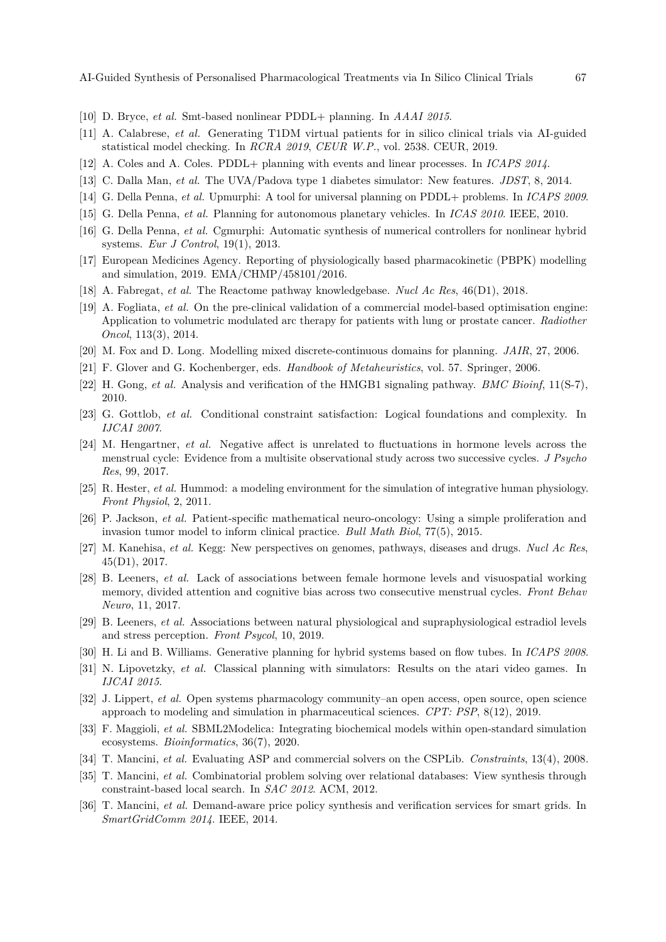AI-Guided Synthesis of Personalised Pharmacological Treatments via In Silico Clinical Trials 67

- <span id="page-4-9"></span>[10] D. Bryce, *et al.* Smt-based nonlinear PDDL+ planning. In *AAAI 2015*.
- <span id="page-4-0"></span>[11] A. Calabrese, *et al.* Generating T1DM virtual patients for in silico clinical trials via AI-guided statistical model checking. In *RCRA 2019*, *CEUR W.P.*, vol. 2538. CEUR, 2019.
- <span id="page-4-8"></span>[12] A. Coles and A. Coles. PDDL+ planning with events and linear processes. In *ICAPS 2014*.
- [13] C. Dalla Man, *et al.* The UVA/Padova type 1 diabetes simulator: New features. *JDST*, 8, 2014.
- <span id="page-4-10"></span>[14] G. Della Penna, *et al.* Upmurphi: A tool for universal planning on PDDL+ problems. In *ICAPS 2009*.
- <span id="page-4-11"></span>[15] G. Della Penna, *et al.* Planning for autonomous planetary vehicles. In *ICAS 2010*. IEEE, 2010.
- <span id="page-4-12"></span>[16] G. Della Penna, *et al.* Cgmurphi: Automatic synthesis of numerical controllers for nonlinear hybrid systems. *Eur J Control*, 19(1), 2013.
- [17] European Medicines Agency. Reporting of physiologically based pharmacokinetic (PBPK) modelling and simulation, 2019. EMA/CHMP/458101/2016.
- [18] A. Fabregat, *et al.* The Reactome pathway knowledgebase. *Nucl Ac Res*, 46(D1), 2018.
- <span id="page-4-5"></span>[19] A. Fogliata, *et al.* On the pre-clinical validation of a commercial model-based optimisation engine: Application to volumetric modulated arc therapy for patients with lung or prostate cancer. *Radiother Oncol*, 113(3), 2014.
- <span id="page-4-7"></span>[20] M. Fox and D. Long. Modelling mixed discrete-continuous domains for planning. *JAIR*, 27, 2006.
- <span id="page-4-14"></span>[21] F. Glover and G. Kochenberger, eds. *Handbook of Metaheuristics*, vol. 57. Springer, 2006.
- [22] H. Gong, *et al.* Analysis and verification of the HMGB1 signaling pathway. *BMC Bioinf*, 11(S-7), 2010.
- <span id="page-4-15"></span>[23] G. Gottlob, *et al.* Conditional constraint satisfaction: Logical foundations and complexity. In *IJCAI 2007*.
- <span id="page-4-3"></span>[24] M. Hengartner, *et al.* Negative affect is unrelated to fluctuations in hormone levels across the menstrual cycle: Evidence from a multisite observational study across two successive cycles. *J Psycho Res*, 99, 2017.
- <span id="page-4-6"></span>[25] R. Hester, *et al.* Hummod: a modeling environment for the simulation of integrative human physiology. *Front Physiol*, 2, 2011.
- [26] P. Jackson, *et al.* Patient-specific mathematical neuro-oncology: Using a simple proliferation and invasion tumor model to inform clinical practice. *Bull Math Biol*, 77(5), 2015.
- [27] M. Kanehisa, *et al.* Kegg: New perspectives on genomes, pathways, diseases and drugs. *Nucl Ac Res*, 45(D1), 2017.
- <span id="page-4-2"></span>[28] B. Leeners, *et al.* Lack of associations between female hormone levels and visuospatial working memory, divided attention and cognitive bias across two consecutive menstrual cycles. *Front Behav Neuro*, 11, 2017.
- <span id="page-4-4"></span>[29] B. Leeners, *et al.* Associations between natural physiological and supraphysiological estradiol levels and stress perception. *Front Psycol*, 10, 2019.
- <span id="page-4-13"></span>[30] H. Li and B. Williams. Generative planning for hybrid systems based on flow tubes. In *ICAPS 2008*.
- <span id="page-4-19"></span>[31] N. Lipovetzky, *et al.* Classical planning with simulators: Results on the atari video games. In *IJCAI 2015*.
- [32] J. Lippert, *et al.* Open systems pharmacology community–an open access, open source, open science approach to modeling and simulation in pharmaceutical sciences. *CPT: PSP*, 8(12), 2019.
- <span id="page-4-1"></span>[33] F. Maggioli, *et al.* SBML2Modelica: Integrating biochemical models within open-standard simulation ecosystems. *Bioinformatics*, 36(7), 2020.
- <span id="page-4-16"></span>[34] T. Mancini, *et al.* Evaluating ASP and commercial solvers on the CSPLib. *Constraints*, 13(4), 2008.
- <span id="page-4-17"></span>[35] T. Mancini, *et al.* Combinatorial problem solving over relational databases: View synthesis through constraint-based local search. In *SAC 2012*. ACM, 2012.
- <span id="page-4-18"></span>[36] T. Mancini, *et al.* Demand-aware price policy synthesis and verification services for smart grids. In *SmartGridComm 2014*. IEEE, 2014.